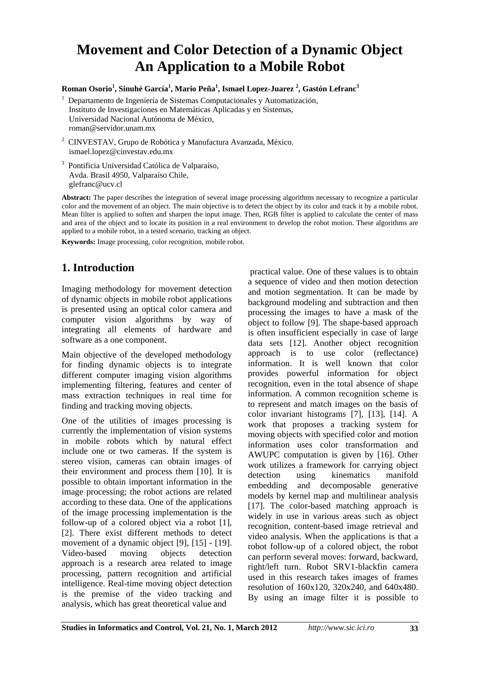# **Movement and Color Detection of a Dynamic Object An Application to a Mobile Robot**

#### **Roman Osorio<sup>1</sup> , Sinuhé García<sup>1</sup> , Mario Peña<sup>1</sup> , Ismael Lopez-Juarez <sup>2</sup> , Gastón Lefranc<sup>3</sup>**

- 1 Departamento de Ingeniería de Sistemas Computacionales y Automatización, Instituto de Investigaciones en Matemáticas Aplicadas y en Sistemas, Universidad Nacional Autónoma de México, roman@servidor.unam.mx
- <sup>2</sup> CINVESTAV, Grupo de Robótica y Manufactura Avanzada, México. ismael.lopez@cinvestav.edu.mx
- 3 Pontificia Universidad Católica de Valparaíso, Avda. Brasil 4950, Valparaíso Chile, glefranc@ucv.cl

**Abstract:** The paper describes the integration of several image processing algorithms necessary to recognize a particular color and the movement of an object. The main objective is to detect the object by its color and track it by a mobile robot. Mean filter is applied to soften and sharpen the input image. Then, RGB filter is applied to calculate the center of mass and area of the object and to locate its position in a real environment to develop the robot motion. These algorithms are applied to a mobile robot, in a tested scenario, tracking an object.

**Keywords:** Image processing, color recognition, mobile robot.

# **1. Introduction**

Imaging methodology for movement detection of dynamic objects in mobile robot applications is presented using an optical color camera and computer vision algorithms by way of integrating all elements of hardware and software as a one component.

Main objective of the developed methodology for finding dynamic objects is to integrate different computer imaging vision algorithms implementing filtering, features and center of mass extraction techniques in real time for finding and tracking moving objects.

One of the utilities of images processing is currently the implementation of vision systems in mobile robots which by natural effect include one or two cameras. If the system is stereo vision, cameras can obtain images of their environment and process them [10]. It is possible to obtain important information in the image processing; the robot actions are related according to these data. One of the applications of the image processing implementation is the follow-up of a colored object via a robot [1], [2]. There exist different methods to detect movement of a dynamic object [9], [15] - [19]. Video-based moving objects detection approach is a research area related to image processing, pattern recognition and artificial intelligence. Real-time moving object detection is the premise of the video tracking and analysis, which has great theoretical value and

 practical value. One of these values is to obtain a sequence of video and then motion detection and motion segmentation. It can be made by background modeling and subtraction and then processing the images to have a mask of the object to follow [9]. The shape-based approach is often insufficient especially in case of large data sets [12]. Another object recognition approach is to use color (reflectance) information. It is well known that color provides powerful information for object recognition, even in the total absence of shape information. A common recognition scheme is to represent and match images on the basis of color invariant histograms [7], [13], [14]. A work that proposes a tracking system for moving objects with specified color and motion information uses color transformation and AWUPC computation is given by [16]. Other work utilizes a framework for carrying object detection using kinematics manifold embedding and decomposable generative models by kernel map and multilinear analysis [17]. The color-based matching approach is widely in use in various areas such as object recognition, content-based image retrieval and video analysis. When the applications is that a robot follow-up of a colored object, the robot can perform several moves: forward, backward, right/left turn. Robot SRV1-blackfin camera used in this research takes images of frames resolution of 160x120, 320x240, and 640x480. By using an image filter it is possible to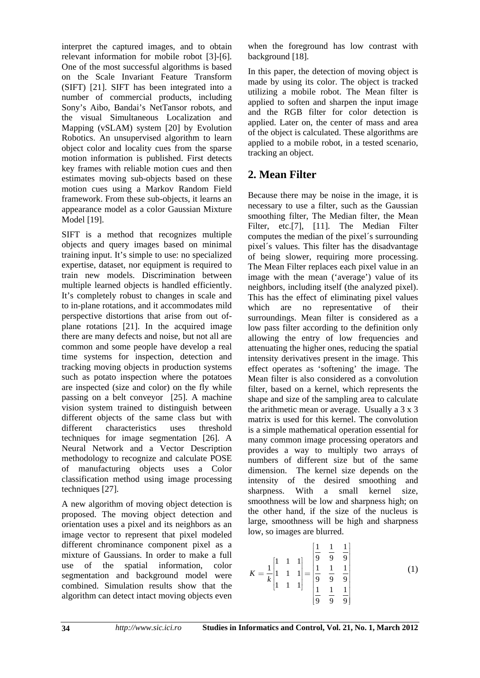interpret the captured images, and to obtain relevant information for mobile robot [3]-[6]. One of the most successful algorithms is based on the Scale Invariant Feature Transform (SIFT) [21]. SIFT has been integrated into a number of commercial products, including Sony's Aibo, Bandai's NetTansor robots, and the visual Simultaneous Localization and Mapping (vSLAM) system [20] by Evolution Robotics. An unsupervised algorithm to learn object color and locality cues from the sparse motion information is published. First detects key frames with reliable motion cues and then estimates moving sub-objects based on these motion cues using a Markov Random Field framework. From these sub-objects, it learns an appearance model as a color Gaussian Mixture Model [19].

SIFT is a method that recognizes multiple objects and query images based on minimal training input. It's simple to use: no specialized expertise, dataset, nor equipment is required to train new models. Discrimination between multiple learned objects is handled efficiently. It's completely robust to changes in scale and to in-plane rotations, and it accommodates mild perspective distortions that arise from out ofplane rotations [21]. In the acquired image there are many defects and noise, but not all are common and some people have develop a real time systems for inspection, detection and tracking moving objects in production systems such as potato inspection where the potatoes are inspected (size and color) on the fly while passing on a belt conveyor [25]. A machine vision system trained to distinguish between different objects of the same class but with different characteristics uses threshold techniques for image segmentation [26]. A Neural Network and a Vector Description methodology to recognize and calculate POSE of manufacturing objects uses a Color classification method using image processing techniques [27].

A new algorithm of moving object detection is proposed. The moving object detection and orientation uses a pixel and its neighbors as an image vector to represent that pixel modeled different chrominance component pixel as a mixture of Gaussians. In order to make a full use of the spatial information, color segmentation and background model were combined. Simulation results show that the algorithm can detect intact moving objects even

when the foreground has low contrast with background [18].

In this paper, the detection of moving object is made by using its color. The object is tracked utilizing a mobile robot. The Mean filter is applied to soften and sharpen the input image and the RGB filter for color detection is applied. Later on, the center of mass and area of the object is calculated. These algorithms are applied to a mobile robot, in a tested scenario, tracking an object.

# **2. Mean Filter**

Because there may be noise in the image, it is necessary to use a filter, such as the Gaussian smoothing filter, The Median filter, the Mean Filter, etc.<sup>[7]</sup>, [11]. The Median Filter computes the median of the pixel´s surrounding pixel´s values. This filter has the disadvantage of being slower, requiring more processing. The Mean Filter replaces each pixel value in an image with the mean ('average') value of its neighbors, including itself (the analyzed pixel). This has the effect of eliminating pixel values which are no representative of their surroundings. Mean filter is considered as a low pass filter according to the definition only allowing the entry of low frequencies and attenuating the higher ones, reducing the spatial intensity derivatives present in the image. This effect operates as 'softening' the image. The Mean filter is also considered as a convolution filter, based on a kernel, which represents the shape and size of the sampling area to calculate the arithmetic mean or average. Usually a 3 x 3 matrix is used for this kernel. The convolution is a simple mathematical operation essential for many common image processing operators and provides a way to multiply two arrays of numbers of different size but of the same dimension. The kernel size depends on the intensity of the desired smoothing and sharpness. With a small kernel size, smoothness will be low and sharpness high; on the other hand, if the size of the nucleus is large, smoothness will be high and sharpness low, so images are blurred.

$$
K = \frac{1}{k} \begin{bmatrix} 1 & 1 & 1 \\ 1 & 1 & 1 \\ 1 & 1 & 1 \end{bmatrix} = \begin{bmatrix} \frac{1}{9} & \frac{1}{9} & \frac{1}{9} \\ \frac{1}{9} & \frac{1}{9} & \frac{1}{9} \\ \frac{1}{9} & \frac{1}{9} & \frac{1}{9} \end{bmatrix}
$$
(1)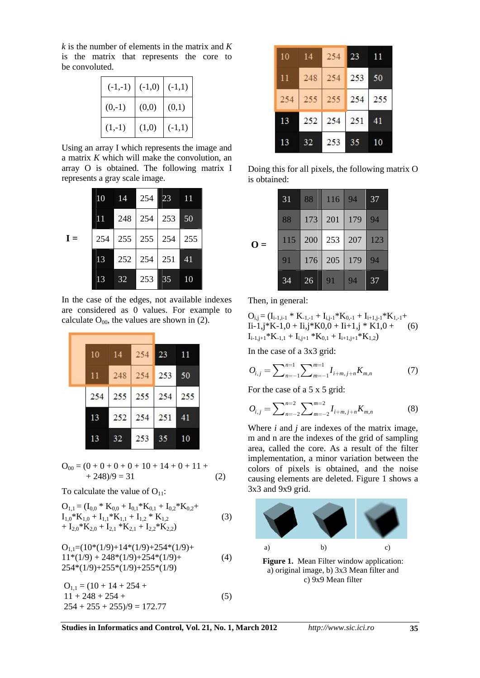*k* is the number of elements in the matrix and *K* is the matrix that represents the core to be convoluted.

| $(-1,-1)$ | $(-1,0)$ | $(-1,1)$ |
|-----------|----------|----------|
| $(0,-1)$  | (0,0)    | (0,1)    |
| $(1,-1)$  | (1,0)    | $(-1,1)$ |

Using an array I which represents the image and a matrix *K* which will make the convolution, an array O is obtained. The following matrix I represents a gray scale image.

|       | 10 |                             | 14 254 23 | $\blacksquare$ |
|-------|----|-----------------------------|-----------|----------------|
|       |    | 11 248 254 253 50           |           |                |
| $I =$ |    | 254   255   255   254   255 |           |                |
|       | 13 | 252 254 251                 |           | 41             |
|       | 13 | 32                          | 253   35  | 10             |

In the case of the edges, not available indexes are considered as 0 values. For example to calculate  $O<sub>00</sub>$ , the values are shown in (2).

| 10  | - 14 | 254       | 23  | 11  |
|-----|------|-----------|-----|-----|
| 11  |      | $248$ 254 | 253 | 50  |
| 254 |      | $255$ 255 | 254 | 255 |
| 13  | 252  | 254       | 251 | 41  |
| 13  | 32   | 253       | 35  |     |

$$
O_{00} = (0 + 0 + 0 + 0 + 10 + 14 + 0 + 11 ++ 248)/9 = 31
$$
 (2)

To calculate the value of  $O_{11}$ :

$$
O_{1,1} = (I_{0,0} * K_{0,0} + I_{0,1} * K_{0,1} + I_{0,2} * K_{0,2} + I_{1,0} * K_{1,0} + I_{1,1} * K_{1,1} + I_{1,2} * K_{1,2} + I_{2,0} * K_{2,0} + I_{2,1} * K_{2,1} + I_{2,2} * K_{2,2})
$$
\n(3)

$$
O1,1 = (10*(1/9)+14*(1/9)+254*(1/9)+11*(1/9) + 248*(1/9)+254*(1/9)+254*(1/9)+255*(1/9)+255*(1/9)
$$
\n(4)

 $Q_{1,1} = (10 + 14 + 254 +$  $11 + 248 + 254 +$  (5)  $254 + 255 + 255/9 = 172.77$ 

| 10  | -14 | 254         | 23  |     |
|-----|-----|-------------|-----|-----|
| 11  | 248 | 254 253     |     | 50  |
| 254 |     | 255 255 254 |     | 255 |
| 13  |     | 252 254     | 251 | 41  |
| 13  | 32  | 253         | 35  |     |

Doing this for all pixels, the following matrix O is obtained:

|          | 31  | 88      | 116         | 94  | 37  |
|----------|-----|---------|-------------|-----|-----|
|          | 88  | 173 201 |             | 179 | 94  |
| 0<br>$=$ | 115 | 200     | $\vert$ 253 | 207 | 123 |
|          | 91  | 176     | $\vert$ 205 | 179 | 94  |
|          | 34  | 26      | 91          | 94  | 37  |

Then, in general:

$$
O_{i,j} = (I_{i-1,i-1} * K_{-1,-1} + I_{i,j-1} * K_{0,-1} + I_{i+1,j-1} * K_{1,-1} + I_{i-1,j} * K_{-1,0} + I_{i,j} * K_{0,0} + I_{i+1,j} * K_{1,0} + (6) I_{i-1,j+1} * K_{-1,1} + I_{i,j+1} * K_{0,1} + I_{i+1,j+1} * K_{1,2})
$$

In the case of a 3x3 grid:

$$
O_{i,j} = \sum_{n=-1}^{n=1} \sum_{m=-1}^{m=1} I_{i+m,j+n} K_{m,n}
$$
 (7)

For the case of a 5 x 5 grid:

$$
O_{i,j} = \sum_{n=-2}^{n=2} \sum_{m=-2}^{m=2} I_{i+m,j+n} K_{m,n}
$$
(8)

Where *i* and *j* are indexes of the matrix image, m and n are the indexes of the grid of sampling area, called the core. As a result of the filter implementation, a minor variation between the colors of pixels is obtained, and the noise causing elements are deleted. Figure 1 shows a 3x3 and 9x9 grid.



a) original image, b) 3x3 Mean filter and c) 9x9 Mean filter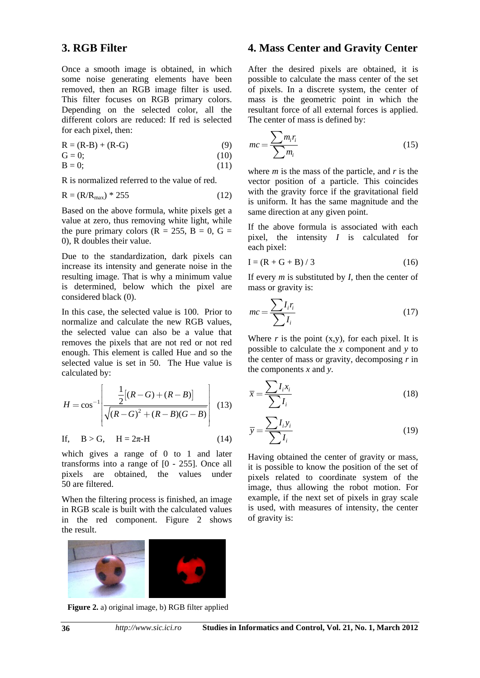#### **3. RGB Filter**

Once a smooth image is obtained, in which some noise generating elements have been removed, then an RGB image filter is used. This filter focuses on RGB primary colors. Depending on the selected color, all the different colors are reduced: If red is selected for each pixel, then:

$$
R = (R-B) + (R-G)
$$
\n<sup>(9)</sup>

$$
\mathbf{G} = 0; \tag{10}
$$

$$
B = 0; \t(11)
$$

R is normalized referred to the value of red.

$$
R = (R/R_{\text{max}}) * 255 \tag{12}
$$

Based on the above formula, white pixels get a value at zero, thus removing white light, while the pure primary colors ( $R = 255$ ,  $B = 0$ ,  $G =$ 0), R doubles their value.

Due to the standardization, dark pixels can increase its intensity and generate noise in the resulting image. That is why a minimum value is determined, below which the pixel are considered black (0).

In this case, the selected value is 100. Prior to normalize and calculate the new RGB values, the selected value can also be a value that removes the pixels that are not red or not red enough. This element is called Hue and so the selected value is set in 50. The Hue value is calculated by:

$$
H = \cos^{-1}\left[\frac{\frac{1}{2}[(R-G) + (R-B)]}{\sqrt{(R-G)^2 + (R-B)(G-B)}}\right] \tag{13}
$$

$$
If, \quad B > G, \quad H = 2\pi - H \tag{14}
$$

which gives a range of 0 to 1 and later transforms into a range of [0 - 255]. Once all pixels are obtained, the values under 50 are filtered.

When the filtering process is finished, an image in RGB scale is built with the calculated values in the red component. Figure 2 shows the result.

#### **4. Mass Center and Gravity Center**

After the desired pixels are obtained, it is possible to calculate the mass center of the set of pixels. In a discrete system, the center of mass is the geometric point in which the resultant force of all external forces is applied. The center of mass is defined by:

$$
mc = \frac{\sum m_i r_i}{\sum m_i} \tag{15}
$$

where *m* is the mass of the particle, and *r* is the vector position of a particle. This coincides with the gravity force if the gravitational field is uniform. It has the same magnitude and the same direction at any given point.

If the above formula is associated with each pixel, the intensity *I* is calculated for each pixel:

$$
I = (R + G + B) / 3
$$
 (16)

If every *m* is substituted by *I*, then the center of mass or gravity is:

$$
mc = \frac{\sum I_i r_i}{\sum I_i}
$$
 (17)

Where  $r$  is the point  $(x,y)$ , for each pixel. It is possible to calculate the *x* component and *y* to the center of mass or gravity, decomposing *r* in the components *x* and *y*.

$$
\overline{x} = \frac{\sum I_i x_i}{\sum I_i} \tag{18}
$$

$$
\overline{y} = \frac{\sum I_i y_i}{\sum I_i} \tag{19}
$$

Having obtained the center of gravity or mass, it is possible to know the position of the set of pixels related to coordinate system of the image, thus allowing the robot motion. For example, if the next set of pixels in gray scale is used, with measures of intensity, the center of gravity is:



**Figure 2.** a) original image, b) RGB filter applied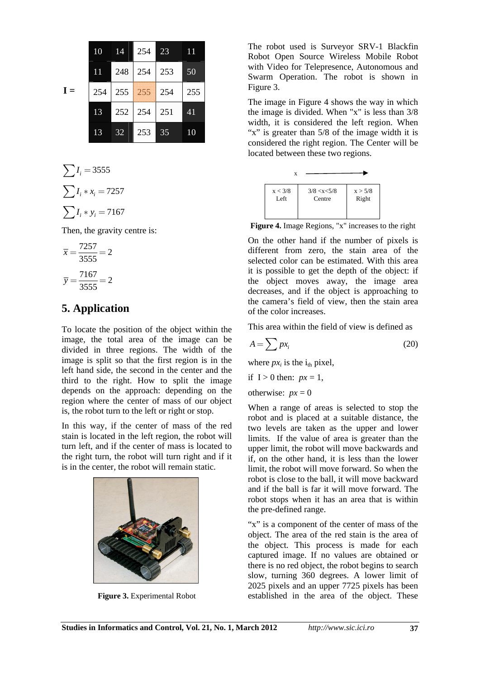|       | 10 | 14         | 254             | 23  | 11  |
|-------|----|------------|-----------------|-----|-----|
|       | 11 | $248$ 254  |                 | 253 | 50  |
| $I =$ |    |            | 254 255 255 254 |     | 255 |
|       |    | 13 252 254 |                 | 251 | 41  |
|       | 13 | 32         | 253             | 35  | 10  |

$$
\sum I_i = 3555
$$

$$
\sum I_i * x_i = 7257
$$

$$
\sum I_i * y_i = 7167
$$

Then, the gravity centre is:

$$
\overline{x} = \frac{7257}{3555} = 2
$$

$$
\overline{y} = \frac{7167}{3555} = 2
$$

## **5. Application**

To locate the position of the object within the image, the total area of the image can be divided in three regions. The width of the image is split so that the first region is in the left hand side, the second in the center and the third to the right. How to split the image depends on the approach: depending on the region where the center of mass of our object is, the robot turn to the left or right or stop.

In this way, if the center of mass of the red stain is located in the left region, the robot will turn left, and if the center of mass is located to the right turn, the robot will turn right and if it is in the center, the robot will remain static.



**Figure 3.** Experimental Robot

The robot used is Surveyor SRV-1 Blackfin Robot Open Source Wireless Mobile Robot with Video for Telepresence, Autonomous and Swarm Operation. The robot is shown in Figure 3.

The image in Figure 4 shows the way in which the image is divided. When "x" is less than 3/8 width, it is considered the left region. When "x" is greater than 5/8 of the image width it is considered the right region. The Center will be located between these two regions.



**Figure 4.** Image Regions, "x" increases to the right

On the other hand if the number of pixels is different from zero, the stain area of the selected color can be estimated. With this area it is possible to get the depth of the object: if the object moves away, the image area decreases, and if the object is approaching to the camera's field of view, then the stain area of the color increases.

This area within the field of view is defined as

$$
A = \sum px_i \tag{20}
$$

where  $px_i$  is the  $i_{th}$  pixel,

if 
$$
I > 0
$$
 then:  $px = 1$ ,

otherwise:  $px = 0$ 

When a range of areas is selected to stop the robot and is placed at a suitable distance, the two levels are taken as the upper and lower limits. If the value of area is greater than the upper limit, the robot will move backwards and if, on the other hand, it is less than the lower limit, the robot will move forward. So when the robot is close to the ball, it will move backward and if the ball is far it will move forward. The robot stops when it has an area that is within the pre-defined range.

"x" is a component of the center of mass of the object. The area of the red stain is the area of the object. This process is made for each captured image. If no values are obtained or there is no red object, the robot begins to search slow, turning 360 degrees. A lower limit of 2025 pixels and an upper 7725 pixels has been established in the area of the object. These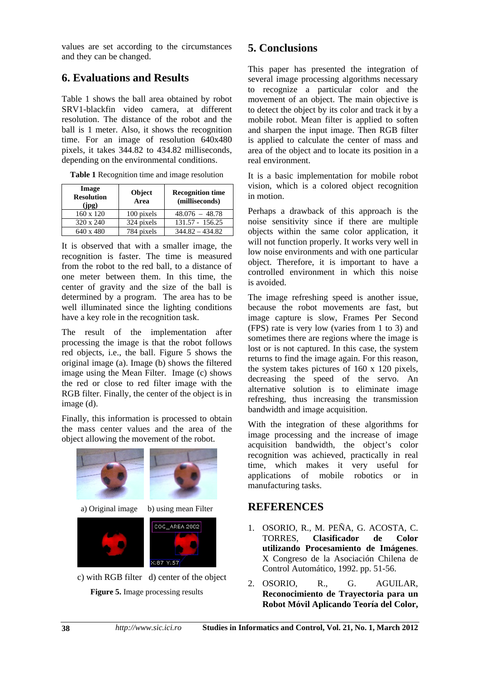values are set according to the circumstances and they can be changed.

## **6. Evaluations and Results**

Table 1 shows the ball area obtained by robot SRV1-blackfin video camera, at different resolution. The distance of the robot and the ball is 1 meter. Also, it shows the recognition time. For an image of resolution 640x480 pixels, it takes 344.82 to 434.82 milliseconds, depending on the environmental conditions.

| Image<br><b>Resolution</b><br>(ipg) | Object<br>Area | <b>Recognition time</b><br>(milliseconds) |
|-------------------------------------|----------------|-------------------------------------------|
| 160 x 120                           | 100 pixels     | $48.076 - 48.78$                          |
| 320 x 240                           | 324 pixels     | $131.57 - 156.25$                         |
| 640 x 480                           | 784 pixels     | $344.82 - 434.82$                         |

**Table 1** Recognition time and image resolution

It is observed that with a smaller image, the recognition is faster. The time is measured from the robot to the red ball, to a distance of one meter between them. In this time, the center of gravity and the size of the ball is determined by a program. The area has to be well illuminated since the lighting conditions have a key role in the recognition task.

The result of the implementation after processing the image is that the robot follows red objects, i.e., the ball. Figure 5 shows the original image (a). Image (b) shows the filtered image using the Mean Filter. Image (c) shows the red or close to red filter image with the RGB filter. Finally, the center of the object is in image (d).

Finally, this information is processed to obtain the mass center values and the area of the object allowing the movement of the robot.



 c) with RGB filter d) center of the object **Figure 5.** Image processing results

# **5. Conclusions**

This paper has presented the integration of several image processing algorithms necessary to recognize a particular color and the movement of an object. The main objective is to detect the object by its color and track it by a mobile robot. Mean filter is applied to soften and sharpen the input image. Then RGB filter is applied to calculate the center of mass and area of the object and to locate its position in a real environment.

It is a basic implementation for mobile robot vision, which is a colored object recognition in motion.

Perhaps a drawback of this approach is the noise sensitivity since if there are multiple objects within the same color application, it will not function properly. It works very well in low noise environments and with one particular object. Therefore, it is important to have a controlled environment in which this noise is avoided.

The image refreshing speed is another issue, because the robot movements are fast, but image capture is slow, Frames Per Second (FPS) rate is very low (varies from 1 to 3) and sometimes there are regions where the image is lost or is not captured. In this case, the system returns to find the image again. For this reason, the system takes pictures of 160 x 120 pixels, decreasing the speed of the servo. An alternative solution is to eliminate image refreshing, thus increasing the transmission bandwidth and image acquisition.

With the integration of these algorithms for image processing and the increase of image acquisition bandwidth, the object's color recognition was achieved, practically in real time, which makes it very useful for applications of mobile robotics or in manufacturing tasks.

### **REFERENCES**

- 1. OSORIO, R., M. PEÑA, G. ACOSTA, C. TORRES, **Clasificador de Color utilizando Procesamiento de Imágenes**. X Congreso de la Asociación Chilena de Control Automático, 1992. pp. 51-56.
- 2. OSORIO, R., G. AGUILAR, **Reconocimiento de Trayectoria para un Robot Móvil Aplicando Teoría del Color,**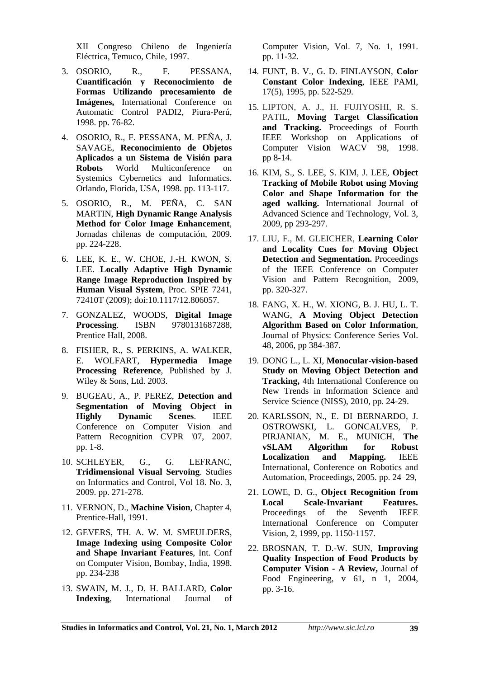XII Congreso Chileno de Ingeniería Eléctrica, Temuco, Chile, 1997.

- 3. OSORIO, R., F. PESSANA, **Cuantificación y Reconocimiento de Formas Utilizando procesamiento de Imágenes,** International Conference on Automatic Control PADI2, Piura-Perú, 1998. pp. 76-82.
- 4. OSORIO, R., F. PESSANA, M. PEÑA, J. SAVAGE, **Reconocimiento de Objetos Aplicados a un Sistema de Visión para Robots** World Multiconference on Systemics Cybernetics and Informatics. Orlando, Florida, USA, 1998. pp. 113-117.
- 5. OSORIO, R., M. PEÑA, C. SAN MARTIN, **High Dynamic Range Analysis Method for Color Image Enhancement**, Jornadas chilenas de computación, 2009. pp. 224-228.
- 6. LEE, K. E., W. CHOE, J.-H. KWON, S. LEE. **Locally Adaptive High Dynamic Range Image Reproduction Inspired by Human Visual System**, Proc. SPIE 7241, 72410T (2009); doi:10.1117/12.806057.
- 7. GONZALEZ, WOODS, **Digital Image Processing**. ISBN 9780131687288, Prentice Hall, 2008.
- 8. FISHER, R., S. PERKINS, A. WALKER, E. WOLFART, **Hypermedia Image Processing Reference**, Published by J. Wiley & Sons, Ltd. 2003.
- 9. BUGEAU, A., P. PEREZ, **Detection and Segmentation of Moving Object in Highly Dynamic Scenes**. IEEE Conference on Computer Vision and Pattern Recognition CVPR '07, 2007. pp. 1-8.
- 10. SCHLEYER, G., G. LEFRANC, **Tridimensional Visual Servoing**. Studies on Informatics and Control, Vol 18. No. 3, 2009. pp. 271-278.
- 11. VERNON, D., **Machine Vision**, Chapter 4, Prentice-Hall, 1991.
- 12. GEVERS, TH. A. W. M. SMEULDERS, **Image Indexing using Composite Color and Shape Invariant Features**, Int. Conf on Computer Vision, Bombay, India, 1998. pp. 234-238
- 13. SWAIN, M. J., D. H. BALLARD, **Color Indexing**, International Journal of

Computer Vision, Vol. 7, No. 1, 1991. pp. 11-32.

- 14. FUNT, B. V., G. D. FINLAYSON, **Color Constant Color Indexing**, IEEE PAMI, 17(5), 1995, pp. 522-529.
- 15. LIPTON, A. J., H. FUJIYOSHI, R. S. PATIL, **Moving Target Classification and Tracking.** Proceedings of Fourth IEEE Workshop on Applications of Computer Vision WACV '98, 1998. pp 8-14.
- 16. KIM, S., S. LEE, S. KIM, J. LEE, **Object Tracking of Mobile Robot using Moving Color and Shape Information for the aged walking.** International Journal of Advanced Science and Technology, Vol. 3, 2009, pp 293-297.
- 17. LIU, F., M. GLEICHER, **Learning Color and Locality Cues for Moving Object Detection and Segmentation.** Proceedings of the IEEE Conference on Computer Vision and Pattern Recognition, 2009, pp. 320-327.
- 18. FANG, X. H., W. XIONG, B. J. HU, L. T. WANG, **A Moving Object Detection Algorithm Based on Color Information**, Journal of Physics: Conference Series Vol. 48, 2006, pp 384-387.
- 19. DONG L., L. XI, **Monocular-vision-based Study on Moving Object Detection and Tracking,** 4th International Conference on New Trends in Information Science and Service Science (NISS), 2010, pp. 24-29.
- 20. KARLSSON, N., E. DI BERNARDO, J. OSTROWSKI, L. GONCALVES, P. PIRJANIAN, M. E., MUNICH, **The vSLAM Algorithm for Robust Localization and Mapping.** IEEE International, Conference on Robotics and Automation, Proceedings, 2005. pp. 24–29,
- 21. LOWE, D. G., **Object Recognition from Local Scale-Invariant Features.** Proceedings of the Seventh IEEE International Conference on Computer Vision, 2, 1999, pp. 1150-1157.
- 22. BROSNAN, T. D.-W. SUN, **Improving Quality Inspection of Food Products by Computer Vision - A Review,** Journal of Food Engineering, v 61, n 1, 2004, pp. 3-16.